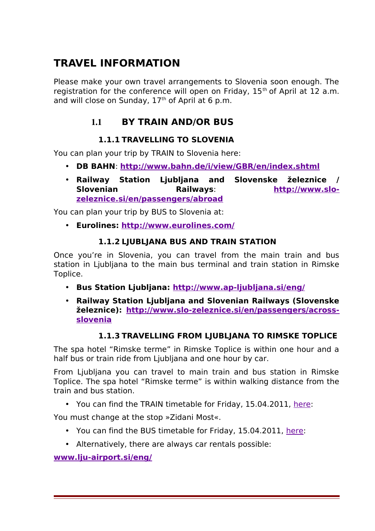# **TRAVEL INFORMATION**

Please make your own travel arrangements to Slovenia soon enough. The registration for the conference will open on Friday,  $15<sup>th</sup>$  of April at 12 a.m. and will close on Sunday,  $17<sup>th</sup>$  of April at 6 p.m.

# 1.1 **BY TRAIN AND/OR BUS**

# **1.1.1 TRAVELLING TO SLOVENIA**

You can plan your trip by TRAIN to Slovenia here:

- **DB BAHN**: **<http://www.bahn.de/i/view/GBR/en/index.shtml>**
- **Railway Station Ljubljana and Slovenske železnice / Slovenian Railways**: **[http://www.slo](http://www.slo-zeleznice.si/en/passengers/abroad)[zeleznice.si/en/passengers/abroad](http://www.slo-zeleznice.si/en/passengers/abroad)**

You can plan your trip by BUS to Slovenia at:

• **Eurolines: <http://www.eurolines.com/>**

### **1.1.2 LJUBLJANA BUS AND TRAIN STATION**

Once you're in Slovenia, you can travel from the main train and bus station in Ljubljana to the main bus terminal and train station in Rimske Toplice.

- **Bus Station Ljubljana:<http://www.ap-ljubljana.si/eng/>**
- **Railway Station Ljubljana and Slovenian Railways (Slovenske železnice): [http://www.slo-zeleznice.si/en/passengers/across](http://www.slo-zeleznice.si/en/passengers/across-slovenia)[slovenia](http://www.slo-zeleznice.si/en/passengers/across-slovenia)**

# **1.1.3 TRAVELLING FROM LJUBLJANA TO RIMSKE TOPLICE**

The spa hotel "Rimske terme" in Rimske Toplice is within one hour and a half bus or train ride from Liubliana and one hour by car.

From Ljubljana you can travel to main train and bus station in Rimske Toplice. The spa hotel "Rimske terme" is within walking distance from the train and bus station.

• You can find the TRAIN timetable for Friday, 15.04.2011, [here:](http://www.slo-zeleznice.si/en/passengers/timetable/timetable-with-prices?entrystation=42300&via=-1&exitstation=43001&date=15.04.2011&submit_ttable.x=101&submit_ttable.y=10&submit_ttable=Search)

You must change at the stop »Zidani Most«.

- You can find the BUS timetable for Friday, 15.04.2011, [here:](http://www.ap-ljubljana.si/eng/vozni_eng.php?uIfr=1)
- Alternatively, there are always car rentals possible:

**[www.lju-airport.si/eng/](http://www.lju-airport.si/eng/passanger-visitors/getting-here/car-rentals)**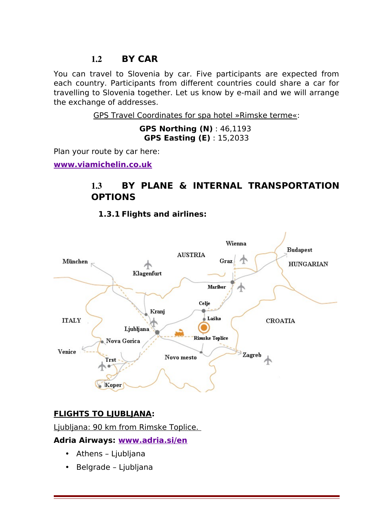### 1.2 **BY CAR**

You can travel to Slovenia by car. Five participants are expected from each country. Participants from different countries could share a car for travelling to Slovenia together. Let us know by e-mail and we will arrange the exchange of addresses.

GPS Travel Coordinates for spa hotel »Rimske terme«:

**GPS Northing (N)** : 46,1193 **GPS Easting (E)** : 15,2033

Plan your route by car here:

**[www.viamichelin.co.uk](http://www.viamichelin.co.uk/tpl/hme/MaHomePage.htm)**

# 1.3 **BY PLANE & INTERNAL TRANSPORTATION OPTIONS**

**1.3.1 Flights and airlines:**



#### **FLIGHTS TO LJUBLJANA:**

Ljubljana: 90 km from Rimske Toplice.

#### **Adria Airways: [www.adria.si/en](http://www.adria.si/en/index.cp2)**

- Athens Ljubljana
- Belgrade Ljubljana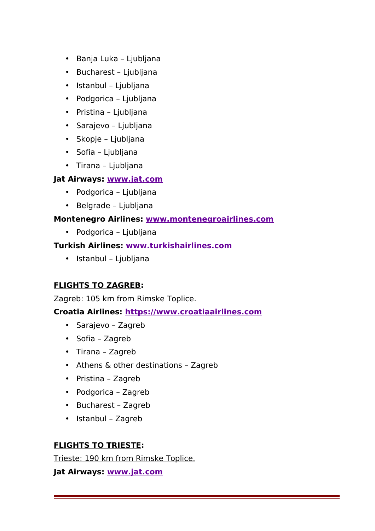- Banja Luka Ljubljana
- Bucharest Ljubljana
- Istanbul Ljubljana
- Podgorica Ljubljana
- Pristina Ljubljana
- Sarajevo Ljubljana
- Skopje Ljubljana
- Sofia Ljubljana
- Tirana Ljubljana

#### **Jat Airways: [www.jat.com](http://www.jat.com/active/en/home.html)**

- Podgorica Ljubljana
- Belgrade Ljubljana

#### **Montenegro Airlines: [www.montenegroairlines.com](http://www.montenegroairlines.com/)**

• Podgorica – Ljubljana

#### **Turkish Airlines: [www.turkishairlines.com](http://www.turkishairlines.com/)**

• Istanbul – Ljubljana

#### **FLIGHTS TO ZAGREB:**

Zagreb: 105 km from Rimske Toplice.

#### **Croatia Airlines: [https://www.croatiaairlines.com](https://www.croatiaairlines.com/)**

- Sarajevo Zagreb
- Sofia Zagreb
- Tirana Zagreb
- Athens & other destinations Zagreb
- Pristina Zagreb
- Podgorica Zagreb
- Bucharest Zagreb
- Istanbul Zagreb

#### **FLIGHTS TO TRIESTE:**

Trieste: 190 km from Rimske Toplice.

#### **Jat Airways: [www.jat.com](http://www.jat.com/active/en/home.html)**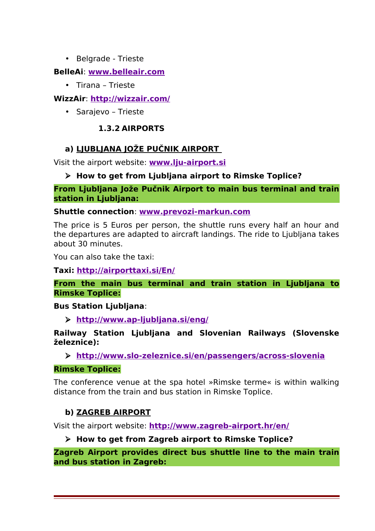• Belgrade - Trieste

#### **BelleAi**: **[www.belleair.com](http://www.belleair.com/)**

• Tirana – Trieste

#### **WizzAir**: **<http://wizzair.com/>**

• Sarajevo – Trieste

#### **1.3.2 AIRPORTS**

#### **a) LJUBLJANA JOŽE PUČNIK AIRPORT**

Visit the airport website: **[www.lju-airport.si](http://www.lju-airport.si/eng)**

#### **How to get from Ljubljana airport to Rimske Toplice?**

**From Ljubljana Jože Pučnik Airport to main bus terminal and train station in Ljubljana:**

**Shuttle connection**: **[www.prevozi-markun.com](http://www.prevozi-markun.com/)**

The price is 5 Euros per person, the shuttle runs every half an hour and the departures are adapted to aircraft landings. The ride to Ljubljana takes about 30 minutes.

You can also take the taxi:

**Taxi: <http://airporttaxi.si/En/>**

#### **From the main bus terminal and train station in Ljubljana to Rimske Toplice:**

#### **Bus Station Ljubljana**:

**<http://www.ap-ljubljana.si/eng/>**

#### **Railway Station Ljubljana and Slovenian Railways (Slovenske železnice):**

**<http://www.slo-zeleznice.si/en/passengers/across-slovenia>**

#### **Rimske Toplice:**

The conference venue at the spa hotel »Rimske terme« is within walking distance from the train and bus station in Rimske Toplice.

#### **b) ZAGREB AIRPORT**

Visit the airport website: **<http://www.zagreb-airport.hr/en/>**

#### **How to get from Zagreb airport to Rimske Toplice?**

**Zagreb Airport provides direct bus shuttle line to the main train and bus station in Zagreb:**